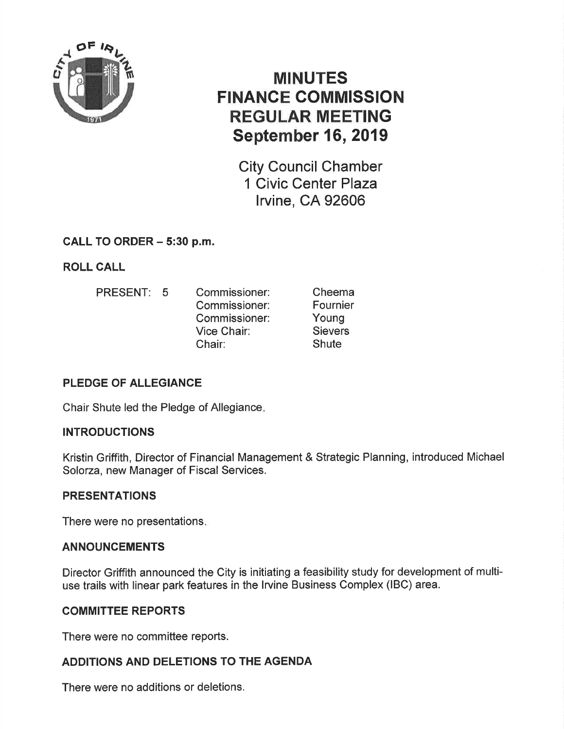

# MINUTES FINANCE GOMMISSION REGULAR MEETING September 16, 2019

City Council Chamber 1 Civic Center Plaza lrvine, CA 92606

# CALL TO ORDER - 5:30 p.m.

ROLL CALL

PRESENT: 5 Commissioner: Commissioner: Commissioner: Vice Chair: Chair: Cheema Fournier Young **Sievers Shute** 

# PLEDGE OF ALLEGIANCE

Chair Shute led the Pledge of Allegiance

# INTRODUCTIONS

Kristin Griffith, Director of Financial Management & Strategic Planning, introduced Michael Solorza, new Manager of Fiscal Services.

# PRESENTATIONS

There were no presentations

# ANNOUNCEMENTS

Director Griffith announced the City is initiating a feasibility study for development of multiuse trails with linear park features in the lrvine Business Complex (lBC) area.

# COMMITTEE REPORTS

There were no committee reports.

# ADDITIONS AND DELETIONS TO THE AGENDA

There were no additions or deletions.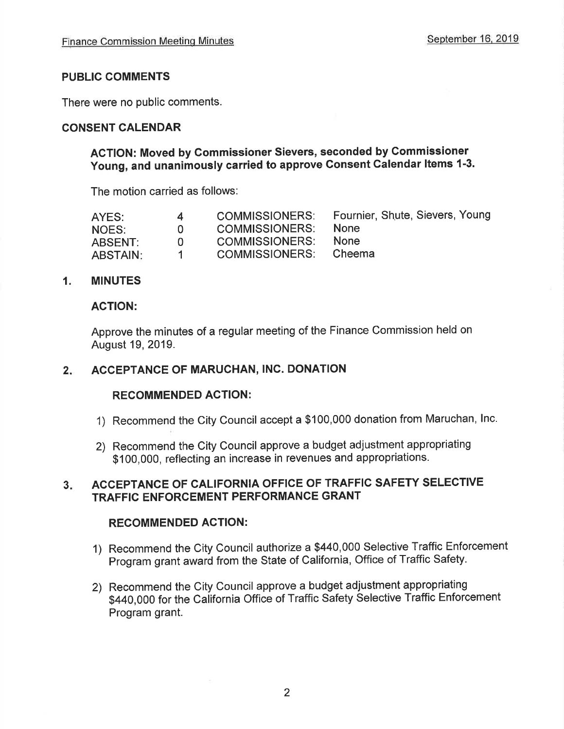### PUBLIC GOMMENTS

There were no public comments.

### CONSENT CALENDAR

### AGTION: Moved by Gommissioner Sievers, seconded by Commissioner Young, and unanimously carried to approve Consent Calendar Items 1-3.

The motion carried as follows:

| AYES:           | 4            | <b>COMMISSIONERS:</b> | Fournier, Shute, Sievers, Young |
|-----------------|--------------|-----------------------|---------------------------------|
| NOES:           | $\mathbf{U}$ | <b>COMMISSIONERS:</b> | <b>None</b>                     |
| ABSENT:         | $\mathbf{U}$ | <b>COMMISSIONERS:</b> | <b>None</b>                     |
| <b>ABSTAIN:</b> | -1           | COMMISSIONERS.        | Cheema                          |

### 1. MINUTES

#### AGTION:

Approve the minutes of a regular meeting of the Finance Commission held on August 19,2019.

#### $2.$ ACCEPTANCE OF MARUCHAN, INC. DONATION

#### RECOMMENDED AGTION:

- 1) Recommend the City Council accept a \$100,000 donation from Maruchan, lnc.
- 2) Recommend the City Council approve a budget adjustment appropriating \$100,000, reflecting an increase in revenues and appropriations.

#### ACCEPTANCE OF CALIFORNIA OFFICE OF TRAFFIC SAFETY SELECTIVE TRAFFIC ENFORCEMENT PERFORMANCE GRANT  $3.$

#### RECOMMENDED ACTION:

- 1) Recommend the City Council authorize a \$440,000 Selective Traffic Enforcement Program grant award from the State of California, Office of Traffic Safety.
- 2) Recommend the City Council approve a budget adjustment appropriating \$440,000 for the California Office of Traffic Safety Selective Traffic Enforcement Program grant.